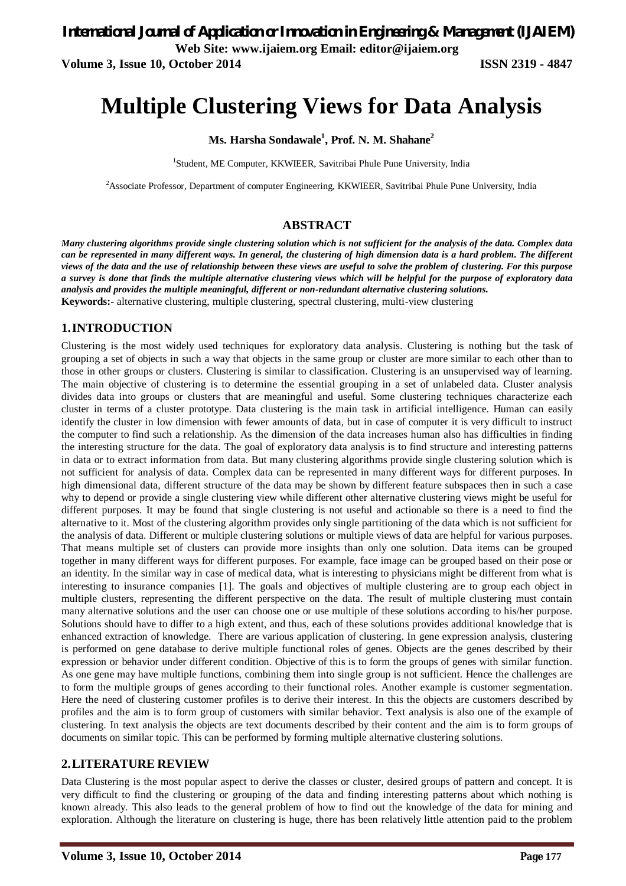**Volume 3, Issue 10, October 2014 ISSN 2319 - 4847**

# **Multiple Clustering Views for Data Analysis**

**Ms. Harsha Sondawale<sup>1</sup> , Prof. N. M. Shahane<sup>2</sup>**

<sup>1</sup>Student, ME Computer, KKWIEER, Savitribai Phule Pune University, India

<sup>2</sup>Associate Professor, Department of computer Engineering, KKWIEER, Savitribai Phule Pune University, India

# **ABSTRACT**

*Many clustering algorithms provide single clustering solution which is not sufficient for the analysis of the data. Complex data can be represented in many different ways. In general, the clustering of high dimension data is a hard problem. The different views of the data and the use of relationship between these views are useful to solve the problem of clustering. For this purpose a survey is done that finds the multiple alternative clustering views which will be helpful for the purpose of exploratory data analysis and provides the multiple meaningful, different or non-redundant alternative clustering solutions.* **Keywords:-** alternative clustering, multiple clustering, spectral clustering, multi-view clustering

# **1.INTRODUCTION**

Clustering is the most widely used techniques for exploratory data analysis. Clustering is nothing but the task of grouping a set of objects in such a way that objects in the same group or cluster are more similar to each other than to those in other groups or clusters. Clustering is similar to classification. Clustering is an unsupervised way of learning. The main objective of clustering is to determine the essential grouping in a set of unlabeled data. Cluster analysis divides data into groups or clusters that are meaningful and useful. Some clustering techniques characterize each cluster in terms of a cluster prototype. Data clustering is the main task in artificial intelligence. Human can easily identify the cluster in low dimension with fewer amounts of data, but in case of computer it is very difficult to instruct the computer to find such a relationship. As the dimension of the data increases human also has difficulties in finding the interesting structure for the data. The goal of exploratory data analysis is to find structure and interesting patterns in data or to extract information from data. But many clustering algorithms provide single clustering solution which is not sufficient for analysis of data. Complex data can be represented in many different ways for different purposes. In high dimensional data, different structure of the data may be shown by different feature subspaces then in such a case why to depend or provide a single clustering view while different other alternative clustering views might be useful for different purposes. It may be found that single clustering is not useful and actionable so there is a need to find the alternative to it. Most of the clustering algorithm provides only single partitioning of the data which is not sufficient for the analysis of data. Different or multiple clustering solutions or multiple views of data are helpful for various purposes. That means multiple set of clusters can provide more insights than only one solution. Data items can be grouped together in many different ways for different purposes. For example, face image can be grouped based on their pose or an identity. In the similar way in case of medical data, what is interesting to physicians might be different from what is interesting to insurance companies [1]. The goals and objectives of multiple clustering are to group each object in multiple clusters, representing the different perspective on the data. The result of multiple clustering must contain many alternative solutions and the user can choose one or use multiple of these solutions according to his/her purpose. Solutions should have to differ to a high extent, and thus, each of these solutions provides additional knowledge that is enhanced extraction of knowledge. There are various application of clustering. In gene expression analysis, clustering is performed on gene database to derive multiple functional roles of genes. Objects are the genes described by their expression or behavior under different condition. Objective of this is to form the groups of genes with similar function. As one gene may have multiple functions, combining them into single group is not sufficient. Hence the challenges are to form the multiple groups of genes according to their functional roles. Another example is customer segmentation. Here the need of clustering customer profiles is to derive their interest. In this the objects are customers described by profiles and the aim is to form group of customers with similar behavior. Text analysis is also one of the example of clustering. In text analysis the objects are text documents described by their content and the aim is to form groups of documents on similar topic. This can be performed by forming multiple alternative clustering solutions.

# **2.LITERATURE REVIEW**

Data Clustering is the most popular aspect to derive the classes or cluster, desired groups of pattern and concept. It is very difficult to find the clustering or grouping of the data and finding interesting patterns about which nothing is known already. This also leads to the general problem of how to find out the knowledge of the data for mining and exploration. Although the literature on clustering is huge, there has been relatively little attention paid to the problem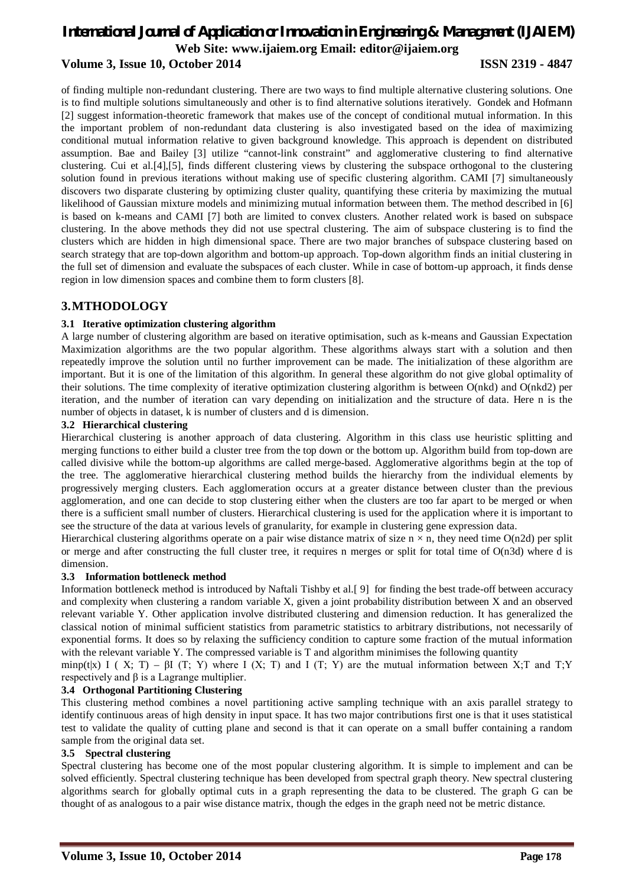# *International Journal of Application or Innovation in Engineering & Management (IJAIEM)* **Web Site: www.ijaiem.org Email: editor@ijaiem.org Volume 3, Issue 10, October 2014 ISSN 2319 - 4847**

of finding multiple non-redundant clustering. There are two ways to find multiple alternative clustering solutions. One is to find multiple solutions simultaneously and other is to find alternative solutions iteratively. Gondek and Hofmann [2] suggest information-theoretic framework that makes use of the concept of conditional mutual information. In this the important problem of non-redundant data clustering is also investigated based on the idea of maximizing conditional mutual information relative to given background knowledge. This approach is dependent on distributed assumption. Bae and Bailey [3] utilize "cannot-link constraint" and agglomerative clustering to find alternative clustering. Cui et al.[4],[5], finds different clustering views by clustering the subspace orthogonal to the clustering solution found in previous iterations without making use of specific clustering algorithm. CAMI [7] simultaneously discovers two disparate clustering by optimizing cluster quality, quantifying these criteria by maximizing the mutual likelihood of Gaussian mixture models and minimizing mutual information between them. The method described in [6] is based on k-means and CAMI [7] both are limited to convex clusters. Another related work is based on subspace clustering. In the above methods they did not use spectral clustering. The aim of subspace clustering is to find the clusters which are hidden in high dimensional space. There are two major branches of subspace clustering based on search strategy that are top-down algorithm and bottom-up approach. Top-down algorithm finds an initial clustering in the full set of dimension and evaluate the subspaces of each cluster. While in case of bottom-up approach, it finds dense region in low dimension spaces and combine them to form clusters [8].

# **3.MTHODOLOGY**

### **3.1 Iterative optimization clustering algorithm**

A large number of clustering algorithm are based on iterative optimisation, such as k-means and Gaussian Expectation Maximization algorithms are the two popular algorithm. These algorithms always start with a solution and then repeatedly improve the solution until no further improvement can be made. The initialization of these algorithm are important. But it is one of the limitation of this algorithm. In general these algorithm do not give global optimality of their solutions. The time complexity of iterative optimization clustering algorithm is between O(nkd) and O(nkd2) per iteration, and the number of iteration can vary depending on initialization and the structure of data. Here n is the number of objects in dataset, k is number of clusters and d is dimension.

#### **3.2 Hierarchical clustering**

Hierarchical clustering is another approach of data clustering. Algorithm in this class use heuristic splitting and merging functions to either build a cluster tree from the top down or the bottom up. Algorithm build from top-down are called divisive while the bottom-up algorithms are called merge-based. Agglomerative algorithms begin at the top of the tree. The agglomerative hierarchical clustering method builds the hierarchy from the individual elements by progressively merging clusters. Each agglomeration occurs at a greater distance between cluster than the previous agglomeration, and one can decide to stop clustering either when the clusters are too far apart to be merged or when there is a sufficient small number of clusters. Hierarchical clustering is used for the application where it is important to see the structure of the data at various levels of granularity, for example in clustering gene expression data.

Hierarchical clustering algorithms operate on a pair wise distance matrix of size  $n \times n$ , they need time O(n2d) per split or merge and after constructing the full cluster tree, it requires n merges or split for total time of  $O(n3d)$  where d is dimension.

#### **3.3 Information bottleneck method**

Information bottleneck method is introduced by Naftali Tishby et al.[ 9] for finding the best trade-off between accuracy and complexity when clustering a random variable X, given a joint probability distribution between X and an observed relevant variable Y. Other application involve distributed clustering and dimension reduction. It has generalized the classical notion of minimal sufficient statistics from parametric statistics to arbitrary distributions, not necessarily of exponential forms. It does so by relaxing the sufficiency condition to capture some fraction of the mutual information with the relevant variable Y. The compressed variable is T and algorithm minimises the following quantity

minp(t|x) I (X; T) –  $\beta$ I (T; Y) where I (X; T) and I (T; Y) are the mutual information between X;T and T;Y respectively and β is a Lagrange multiplier.

#### **3.4 Orthogonal Partitioning Clustering**

This clustering method combines a novel partitioning active sampling technique with an axis parallel strategy to identify continuous areas of high density in input space. It has two major contributions first one is that it uses statistical test to validate the quality of cutting plane and second is that it can operate on a small buffer containing a random sample from the original data set.

#### **3.5 Spectral clustering**

Spectral clustering has become one of the most popular clustering algorithm. It is simple to implement and can be solved efficiently. Spectral clustering technique has been developed from spectral graph theory. New spectral clustering algorithms search for globally optimal cuts in a graph representing the data to be clustered. The graph G can be thought of as analogous to a pair wise distance matrix, though the edges in the graph need not be metric distance.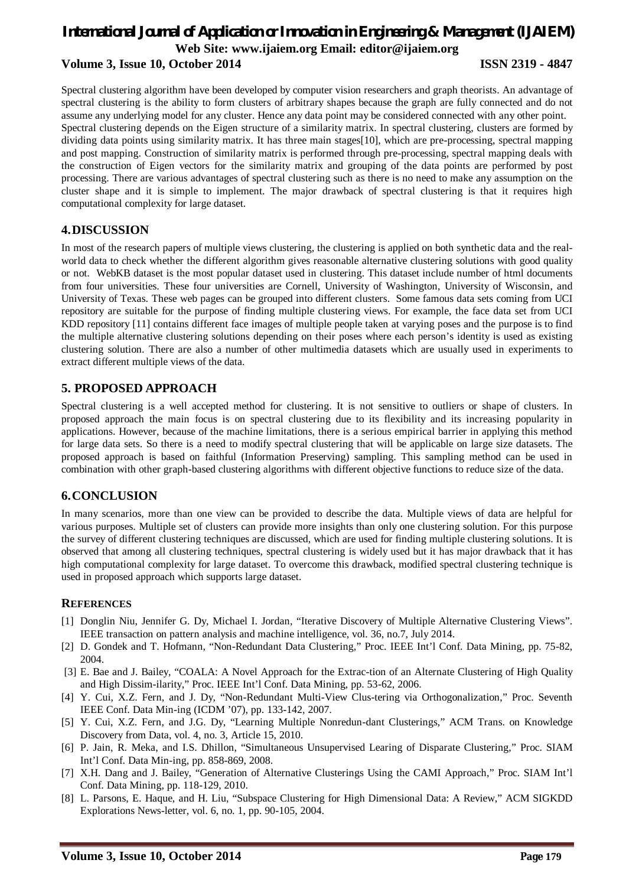# *International Journal of Application or Innovation in Engineering & Management (IJAIEM)* **Web Site: www.ijaiem.org Email: editor@ijaiem.org Volume 3, Issue 10, October 2014 ISSN 2319 - 4847**

Spectral clustering algorithm have been developed by computer vision researchers and graph theorists. An advantage of spectral clustering is the ability to form clusters of arbitrary shapes because the graph are fully connected and do not assume any underlying model for any cluster. Hence any data point may be considered connected with any other point. Spectral clustering depends on the Eigen structure of a similarity matrix. In spectral clustering, clusters are formed by dividing data points using similarity matrix. It has three main stages[10], which are pre-processing, spectral mapping and post mapping. Construction of similarity matrix is performed through pre-processing, spectral mapping deals with the construction of Eigen vectors for the similarity matrix and grouping of the data points are performed by post processing. There are various advantages of spectral clustering such as there is no need to make any assumption on the cluster shape and it is simple to implement. The major drawback of spectral clustering is that it requires high computational complexity for large dataset.

# **4.DISCUSSION**

In most of the research papers of multiple views clustering, the clustering is applied on both synthetic data and the realworld data to check whether the different algorithm gives reasonable alternative clustering solutions with good quality or not. WebKB dataset is the most popular dataset used in clustering. This dataset include number of html documents from four universities. These four universities are Cornell, University of Washington, University of Wisconsin, and University of Texas. These web pages can be grouped into different clusters. Some famous data sets coming from UCI repository are suitable for the purpose of finding multiple clustering views. For example, the face data set from UCI KDD repository [11] contains different face images of multiple people taken at varying poses and the purpose is to find the multiple alternative clustering solutions depending on their poses where each person's identity is used as existing clustering solution. There are also a number of other multimedia datasets which are usually used in experiments to extract different multiple views of the data.

# **5. PROPOSED APPROACH**

Spectral clustering is a well accepted method for clustering. It is not sensitive to outliers or shape of clusters. In proposed approach the main focus is on spectral clustering due to its flexibility and its increasing popularity in applications. However, because of the machine limitations, there is a serious empirical barrier in applying this method for large data sets. So there is a need to modify spectral clustering that will be applicable on large size datasets. The proposed approach is based on faithful (Information Preserving) sampling. This sampling method can be used in combination with other graph-based clustering algorithms with different objective functions to reduce size of the data.

# **6.CONCLUSION**

In many scenarios, more than one view can be provided to describe the data. Multiple views of data are helpful for various purposes. Multiple set of clusters can provide more insights than only one clustering solution. For this purpose the survey of different clustering techniques are discussed, which are used for finding multiple clustering solutions. It is observed that among all clustering techniques, spectral clustering is widely used but it has major drawback that it has high computational complexity for large dataset. To overcome this drawback, modified spectral clustering technique is used in proposed approach which supports large dataset.

# **REFERENCES**

- [1] Donglin Niu, Jennifer G. Dy, Michael I. Jordan, "Iterative Discovery of Multiple Alternative Clustering Views". IEEE transaction on pattern analysis and machine intelligence, vol. 36, no.7, July 2014.
- [2] D. Gondek and T. Hofmann, "Non-Redundant Data Clustering," Proc. IEEE Int'l Conf. Data Mining, pp. 75-82, 2004.
- [3] E. Bae and J. Bailey, "COALA: A Novel Approach for the Extrac-tion of an Alternate Clustering of High Quality and High Dissim-ilarity," Proc. IEEE Int'l Conf. Data Mining, pp. 53-62, 2006.
- [4] Y. Cui, X.Z. Fern, and J. Dy, "Non-Redundant Multi-View Clus-tering via Orthogonalization," Proc. Seventh IEEE Conf. Data Min-ing (ICDM '07), pp. 133-142, 2007.
- [5] Y. Cui, X.Z. Fern, and J.G. Dy, "Learning Multiple Nonredun-dant Clusterings," ACM Trans. on Knowledge Discovery from Data, vol. 4, no. 3, Article 15, 2010.
- [6] P. Jain, R. Meka, and I.S. Dhillon, "Simultaneous Unsupervised Learing of Disparate Clustering," Proc. SIAM Int'l Conf. Data Min-ing, pp. 858-869, 2008.
- [7] X.H. Dang and J. Bailey, "Generation of Alternative Clusterings Using the CAMI Approach," Proc. SIAM Int'l Conf. Data Mining, pp. 118-129, 2010.
- [8] L. Parsons, E. Haque, and H. Liu, "Subspace Clustering for High Dimensional Data: A Review," ACM SIGKDD Explorations News-letter, vol. 6, no. 1, pp. 90-105, 2004.